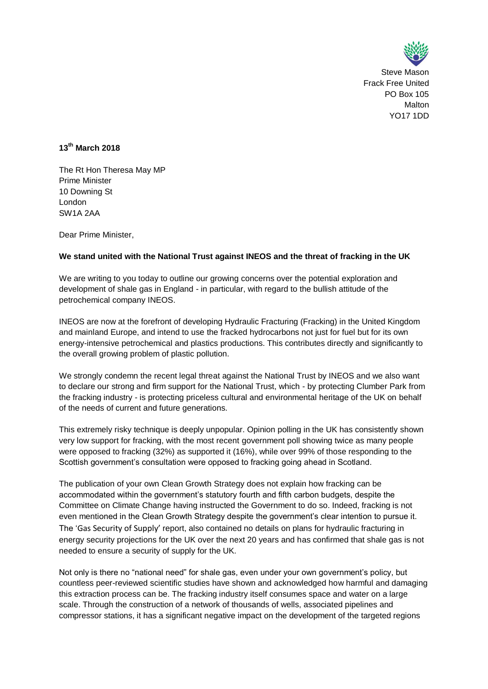

Steve Mason Frack Free United PO Box 105 Malton YO17 1DD

# **13th March 2018**

The Rt Hon Theresa May MP Prime Minister 10 Downing St London SW1A 2AA

Dear Prime Minister,

## **We stand united with the National Trust against INEOS and the threat of fracking in the UK**

We are writing to you today to outline our growing concerns over the potential exploration and development of shale gas in England - in particular, with regard to the bullish attitude of the petrochemical company INEOS.

INEOS are now at the forefront of developing Hydraulic Fracturing (Fracking) in the United Kingdom and mainland Europe, and intend to use the fracked hydrocarbons not just for fuel but for its own energy-intensive petrochemical and plastics productions. This contributes directly and significantly to the overall growing problem of plastic pollution.

We strongly condemn the recent legal threat against the National Trust by INEOS and we also want to declare our strong and firm support for the National Trust, which - by protecting Clumber Park from the fracking industry - is protecting priceless cultural and environmental heritage of the UK on behalf of the needs of current and future generations.

This extremely risky technique is deeply unpopular. Opinion polling in the UK has consistently shown very low support for fracking, with the most recent government poll showing twice as many people were opposed to fracking (32%) as supported it (16%), while over 99% of those responding to the Scottish government's consultation were opposed to fracking going ahead in Scotland.

The publication of your own Clean Growth Strategy does not explain how fracking can be accommodated within the government's statutory fourth and fifth carbon budgets, despite the Committee on Climate Change having instructed the Government to do so. Indeed, fracking is not even mentioned in the Clean Growth Strategy despite the government's clear intention to pursue it. The 'Gas Security of Supply' report, also contained no details on plans for hydraulic fracturing in energy security projections for the UK over the next 20 years and has confirmed that shale gas is not needed to ensure a security of supply for the UK.

Not only is there no "national need" for shale gas, even under your own government's policy, but countless peer-reviewed scientific studies have shown and acknowledged how harmful and damaging this extraction process can be. The fracking industry itself consumes space and water on a large scale. Through the construction of a network of thousands of wells, associated pipelines and compressor stations, it has a significant negative impact on the development of the targeted regions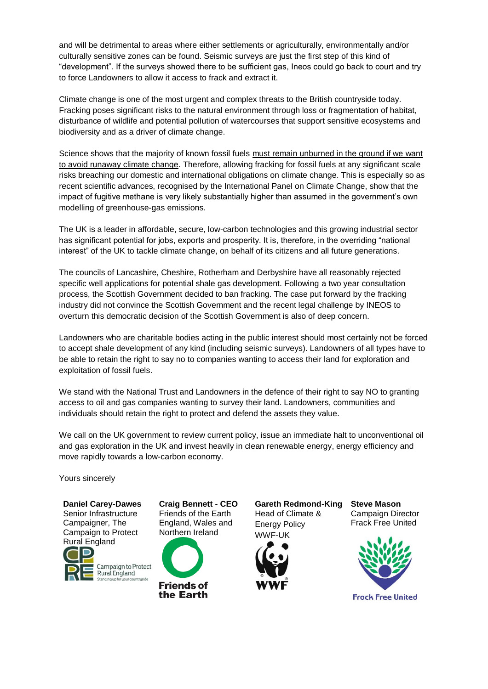and will be detrimental to areas where either settlements or agriculturally, environmentally and/or culturally sensitive zones can be found. Seismic surveys are just the first step of this kind of "development". If the surveys showed there to be sufficient gas, Ineos could go back to court and try to force Landowners to allow it access to frack and extract it.

Climate change is one of the most urgent and complex threats to the British countryside today. Fracking poses significant risks to the natural environment through loss or fragmentation of habitat, disturbance of wildlife and potential pollution of watercourses that support sensitive ecosystems and biodiversity and as a driver of climate change.

Science shows that the majority of known fossil fuels must remain unburned in the ground if we want to avoid runaway climate change. Therefore, allowing fracking for fossil fuels at any significant scale risks breaching our domestic and international obligations on climate change. This is especially so as recent scientific advances, recognised by the International Panel on Climate Change, show that the impact of fugitive methane is very likely substantially higher than assumed in the government's own modelling of greenhouse-gas emissions.

The UK is a leader in affordable, secure, low-carbon technologies and this growing industrial sector has significant potential for jobs, exports and prosperity. It is, therefore, in the overriding "national interest" of the UK to tackle climate change, on behalf of its citizens and all future generations.

The councils of Lancashire, Cheshire, Rotherham and Derbyshire have all reasonably rejected specific well applications for potential shale gas development. Following a two year consultation process, the Scottish Government decided to ban fracking. The case put forward by the fracking industry did not convince the Scottish Government and the recent legal challenge by INEOS to overturn this democratic decision of the Scottish Government is also of deep concern.

Landowners who are charitable bodies acting in the public interest should most certainly not be forced to accept shale development of any kind (including seismic surveys). Landowners of all types have to be able to retain the right to say no to companies wanting to access their land for exploration and exploitation of fossil fuels.

We stand with the National Trust and Landowners in the defence of their right to say NO to granting access to oil and gas companies wanting to survey their land. Landowners, communities and individuals should retain the right to protect and defend the assets they value.

We call on the UK government to review current policy, issue an immediate halt to unconventional oil and gas exploration in the UK and invest heavily in clean renewable energy, energy efficiency and move rapidly towards a low-carbon economy.

Yours sincerely

**Daniel Carey-Dawes** Senior Infrastructure Campaigner, The Campaign to Protect Rural England Campaign to Protect Rural England

**Craig Bennett - CEO** Friends of the Earth England, Wales and Northern Ireland



**Gareth Redmond-King** Head of Climate & Energy Policy



**Steve Mason** Campaign Director Frack Free United



**Frock Free United**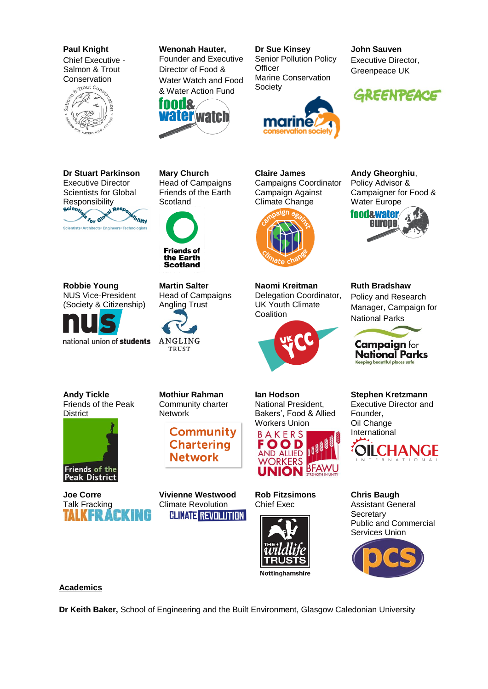**Paul Knight** Chief Executive - Salmon & Trout



**Wenonah Hauter,** Founder and Executive Director of Food & Water Watch and Food & Water Action Fund



**Dr Sue Kinsey** Senior Pollution Policy **Officer** Marine Conservation **Society** 



**John Sauven** Executive Director, Greenpeace UK



**Dr Stuart Parkinson** Executive Director Scientists for Global



**Robbie Young**

**Andy Tickle** Friends of the Peak

Friends of the

**Peak District** 

**District** 

(Society & Citizenship)

national union of students

Head of Campaigns Friends of the Earth **Scotland** 

**Mary Church**



**Scotland Martin Salter** NUS Vice-President

Head of Campaigns Angling Trust



**Claire James**  Campaigns Coordinator Campaign Against Climate Change



**Naomi Kreitman** Delegation Coordinator, UK Youth Climate **Coalition** 



europe

**Andy Gheorghiu**, Policy Advisor & Campaigner for Food &

Water Europe

**foodswater** 

**Ruth Bradshaw** Policy and Research Manager, Campaign for National Parks



**National Parks** Keeping beautiful places safe

**Stephen Kretzmann** Executive Director and Founder, Oil Change International



**Chris Baugh** Assistant General **Secretary** Public and Commercial Services Union



**Academics**

**Dr Keith Baker,** School of Engineering and the Built Environment, Glasgow Caledonian University

**Mothiur Rahman** Community charter

**Network** 

**Community Chartering Network** 

**Vivienne Westwood** Climate Revolution **CLIMATE REVOLUTION** 

**Rob Fitzsimons** Chief Exec





**Ian Hodson** National President, Bakers', Food & Allied

**UNION BFAWU** 



**Joe Corre** Talk Fracking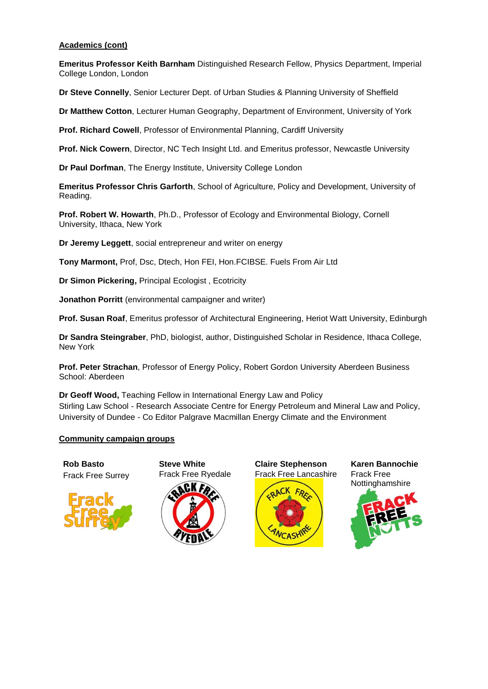#### **Academics (cont)**

**Emeritus Professor Keith Barnham** Distinguished Research Fellow, Physics Department, Imperial College London, London

**Dr Steve Connelly**, Senior Lecturer Dept. of Urban Studies & Planning University of Sheffield

**Dr Matthew Cotton**, Lecturer Human Geography, Department of Environment, University of York

**Prof. Richard Cowell**, Professor of Environmental Planning, Cardiff University

**Prof. Nick Cowern**, Director, NC Tech Insight Ltd. and Emeritus professor, Newcastle University

**Dr Paul Dorfman**, The Energy Institute, University College London

**Emeritus Professor Chris Garforth**, School of Agriculture, Policy and Development, University of Reading.

**Prof. Robert W. Howarth**, Ph.D., Professor of Ecology and Environmental Biology, Cornell University, Ithaca, New York

**Dr Jeremy Leggett**, social entrepreneur and writer on energy

**Tony Marmont,** Prof, Dsc, Dtech, Hon FEI, Hon.FCIBSE. Fuels From Air Ltd

**Dr Simon Pickering,** Principal Ecologist , Ecotricity

**Jonathon Porritt** (environmental campaigner and writer)

**Prof. Susan Roaf**, Emeritus professor of Architectural Engineering, Heriot Watt University, Edinburgh

**Dr Sandra Steingraber**, PhD, biologist, author, Distinguished Scholar in Residence, Ithaca College, New York

**Prof. Peter Strachan**, Professor of Energy Policy, Robert Gordon University Aberdeen Business School: Aberdeen

**Dr Geoff Wood,** Teaching Fellow in International Energy Law and Policy Stirling Law School - Research Associate Centre for Energy Petroleum and Mineral Law and Policy, University of Dundee - Co Editor Palgrave Macmillan Energy Climate and the Environment

#### **Community campaign groups**

**Rob Basto** Frack Free Surrey



**Steve White** Frack Free Ryedale



**Claire Stephenson** Frack Free Lancashire



**Karen Bannochie** Frack Free Nottinghamshire

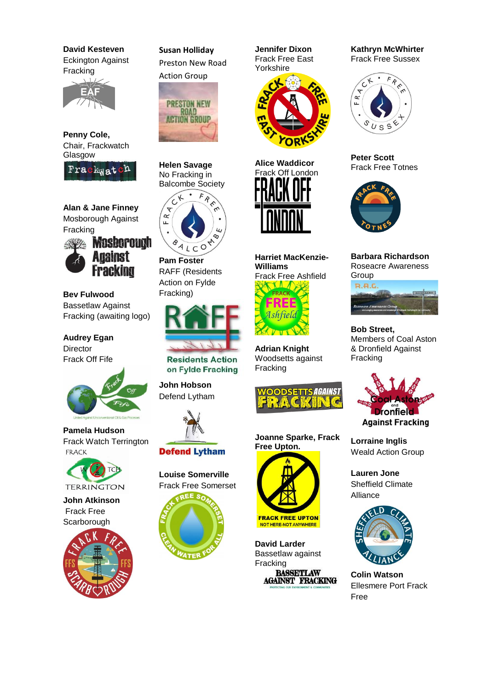**David Kesteven**  Eckington Against Fracking



**Penny Cole,** Chair, Frackwatch Glasgow



**Alan & Jane Finney** Mosborough Against Fracking



**Bev Fulwood** Bassetlaw Against Fracking (awaiting logo)

**Audrey Egan Director** Frack Off Fife



**Pamela Hudson** Frack Watch Terrington **FRACK** 



**John Atkinson** Frack Free **Scarborough** 



**Susan Holliday** Preston New Road Action Group



**Helen Savage** No Fracking in



**Pam Foster** RAFF (Residents Action on Fylde Fracking)



**Residents Action** on Fylde Fracking

**John Hobson** Defend Lytham



# **Defend Lytham**

**Louise Somerville** Frack Free Somerset



**Jennifer Dixon** Frack Free East Yorkshire





**Harriet MacKenzie-Williams** Frack Free Ashfield<br>**NAMA** FRACK

**Adrian Knight** Woodsetts against Fracking



**Joanne Sparke, Frack Free Upton.**



**David Larder** Bassetlaw against Fracking

NOT HERE-NOT ANYWHERE

**BASSETLAW AGAINST FRACKING**  **Kathryn McWhirter** Frack Free Sussex



**Peter Scott**  Frack Free Totnes



**Barbara Richardson** Roseacre Awareness Group  $R.H.C$ 



**Bob Street,** Members of Coal Aston & Dronfield Against Fracking



**Lorraine Inglis** Weald Action Group

**Lauren Jone**  Sheffield Climate Alliance



**Colin Watson** Ellesmere Port Frack Free